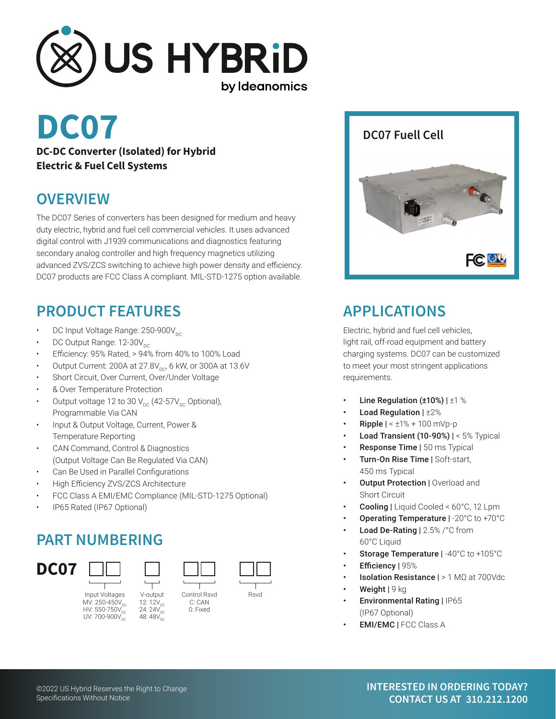

# **DC07**

**DC-DC Converter (Isolated) for Hybrid Electric & Fuel Cell Systems**

#### **OVERVIEW**

The DC07 Series of converters has been designed for medium and heavy duty electric, hybrid and fuel cell commercial vehicles. It uses advanced digital control with J1939 communications and diagnostics featuring secondary analog controller and high frequency magnetics utilizing advanced ZVS/ZCS switching to achieve high power density and efficiency. DC07 products are FCC Class A compliant. MIL-STD-1275 option available.

## **PRODUCT FEATURES**

- DC Input Voltage Range: 250-900V<sub>pc</sub>
- DC Output Range: 12-30V<sub>pc</sub>
- Efficiency: 95% Rated, > 94% from 40% to 100% Load
- Output Current: 200A at  $27.8V_{DC}$ , 6 kW, or 300A at 13.6V
- Short Circuit, Over Current, Over/Under Voltage
- & Over Temperature Protection
- Output voltage 12 to 30  $V_{DC}$  (42-57 $V_{DC}$  Optional), Programmable Via CAN
- Input & Output Voltage, Current, Power & Temperature Reporting
- CAN Command, Control & Diagnostics (Output Voltage Can Be Regulated Via CAN)
- Can Be Used in Parallel Configurations
- High Efficiency ZVS/ZCS Architecture
- FCC Class A EMI/EMC Compliance (MIL-STD-1275 Optional)

V-output 12: 12V<sub>DC</sub><br>24: 24V<sub>DC</sub> 48: 48V

• IP65 Rated (IP67 Optional)

## **PART NUMBERING**



Input Voltages V-output Control Rsvd Rsvd  $MV: 250-450V_{DC}$ <br>HV: 550-750V HV: 550-750 $\mathsf{V}_\mathsf{DC}$ UV: 700-900V<sub>dC</sub>



C: CAN 0: Fixed



#### **DC07 Fuell Cell**



## **APPLICATIONS**

Electric, hybrid and fuel cell vehicles, light rail, off-road equipment and battery charging systems. DC07 can be customized to meet your most stringent applications requirements.

- Line Regulation ( $\pm 10\%$ ) |  $\pm 1\%$
- Load Regulation  $|\pm 2\%$
- **Ripple**  $\vert < \pm 1\% + 100$  mVp-p
- **Load Transient (10-90%) | <**  $5\%$  **Typical**
- **Response Time | 50 ms Typical**
- Turn-On Rise Time | Soft-start, 450 ms Typical
- **Output Protection | Overload and** Short Circuit
- Cooling | Liquid Cooled < 60°C, 12 Lpm
- Operating Temperature | -20°C to +70°C
- Load De-Rating | 2.5% /°C from 60°C Liquid
- Storage Temperature | -40°C to +105°C
	- Efficiency | 95%
- Isolation Resistance | > 1 MΩ at 700Vdc
- Weight | 9 kg
- Environmental Rating | IP65 (IP67 Optional)
- EMI/EMC | FCC Class A